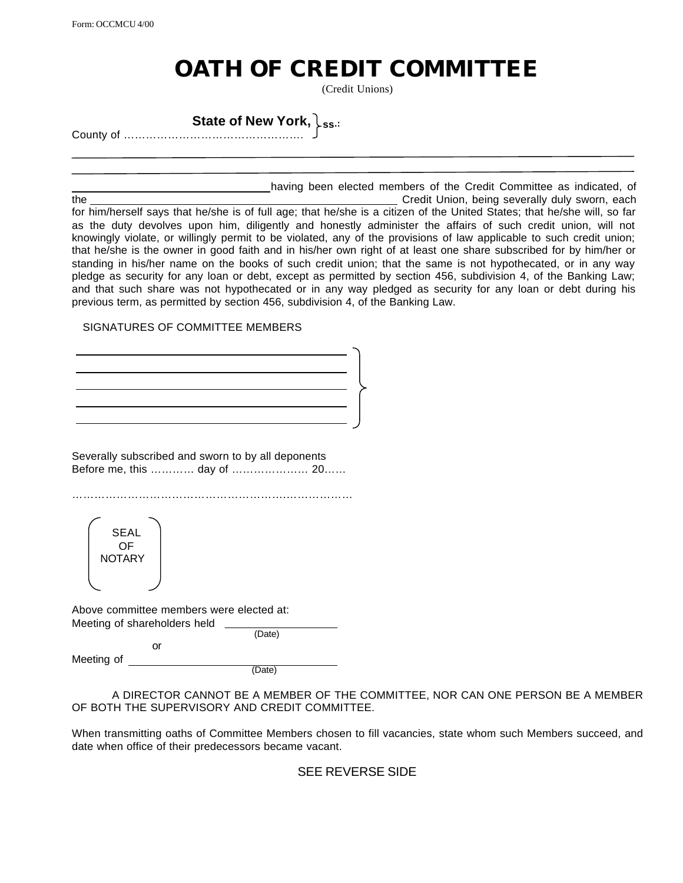Form: OCCMCU 4/00

## **OATH OF CREDIT COMMITTEE**

(Credit Unions)

**State of New York, ss.:** County of ………………………………………….

 having been elected members of the Credit Committee as indicated, of the Credit Union, being severally duly sworn, each the Credit Union, being severally duly sworn, each for him/herself says that he/she is of full age; that he/she is a citizen of the United States; that he/she will, so far as the duty devolves upon him, diligently and honestly administer the affairs of such credit union, will not knowingly violate, or willingly permit to be violated, any of the provisions of law applicable to such credit union; that he/she is the owner in good faith and in his/her own right of at least one share subscribed for by him/her or standing in his/her name on the books of such credit union; that the same is not hypothecated, or in any way pledge as security for any loan or debt, except as permitted by section 456, subdivision 4, of the Banking Law; and that such share was not hypothecated or in any way pledged as security for any loan or debt during his previous term, as permitted by section 456, subdivision 4, of the Banking Law.

## SIGNATURES OF COMMITTEE MEMBERS

Severally subscribed and sworn to by all deponents Before me, this ………… day of ………………… 20……

………………………………………………….………………

SEAL OF **NOTARY** 

Above committee members were elected at: Meeting of shareholders held

or

(Date)

Meeting of

(Date)

A DIRECTOR CANNOT BE A MEMBER OF THE COMMITTEE, NOR CAN ONE PERSON BE A MEMBER OF BOTH THE SUPERVISORY AND CREDIT COMMITTEE.

When transmitting oaths of Committee Members chosen to fill vacancies, state whom such Members succeed, and date when office of their predecessors became vacant.

## SEE REVERSE SIDE